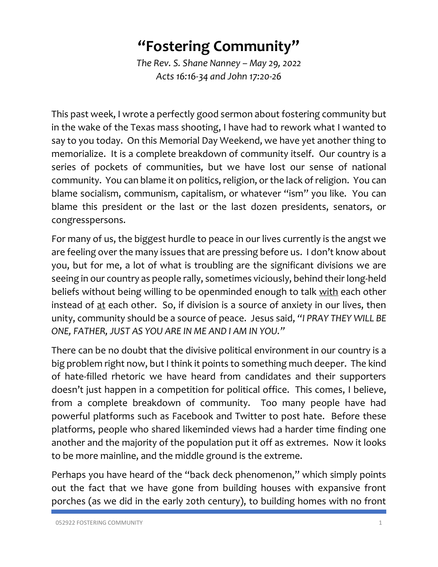## **"Fostering Community"**

*The Rev. S. Shane Nanney – May 29, 2022 Acts 16:16-34 and John 17:20-26*

This past week, I wrote a perfectly good sermon about fostering community but in the wake of the Texas mass shooting, I have had to rework what I wanted to say to you today. On this Memorial Day Weekend, we have yet another thing to memorialize. It is a complete breakdown of community itself. Our country is a series of pockets of communities, but we have lost our sense of national community. You can blame it on politics, religion, or the lack of religion. You can blame socialism, communism, capitalism, or whatever "ism" you like. You can blame this president or the last or the last dozen presidents, senators, or congresspersons.

For many of us, the biggest hurdle to peace in our lives currently is the angst we are feeling over the many issues that are pressing before us. I don't know about you, but for me, a lot of what is troubling are the significant divisions we are seeing in our country as people rally, sometimes viciously, behind their long-held beliefs without being willing to be openminded enough to talk with each other instead of at each other. So, if division is a source of anxiety in our lives, then unity, community should be a source of peace. Jesus said, *"I PRAY THEY WILL BE ONE, FATHER, JUST AS YOU ARE IN ME AND I AM IN YOU."*

There can be no doubt that the divisive political environment in our country is a big problem right now, but I think it points to something much deeper. The kind of hate-filled rhetoric we have heard from candidates and their supporters doesn't just happen in a competition for political office. This comes, I believe, from a complete breakdown of community. Too many people have had powerful platforms such as Facebook and Twitter to post hate. Before these platforms, people who shared likeminded views had a harder time finding one another and the majority of the population put it off as extremes. Now it looks to be more mainline, and the middle ground is the extreme.

Perhaps you have heard of the "back deck phenomenon," which simply points out the fact that we have gone from building houses with expansive front porches (as we did in the early 20th century), to building homes with no front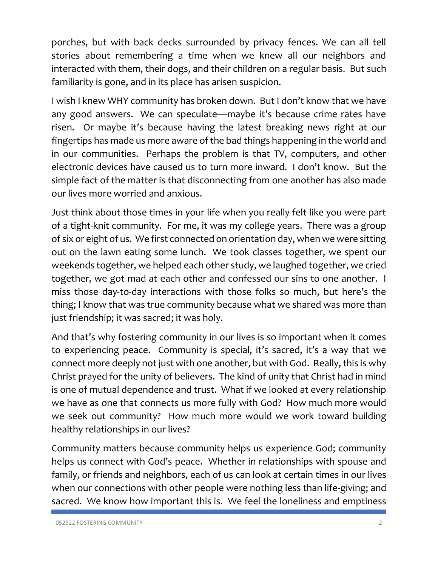porches, but with back decks surrounded by privacy fences. We can all tell stories about remembering a time when we knew all our neighbors and interacted with them, their dogs, and their children on a regular basis. But such familiarity is gone, and in its place has arisen suspicion.

I wish I knew WHY community has broken down. But I don't know that we have any good answers. We can speculate—maybe it's because crime rates have risen. Or maybe it's because having the latest breaking news right at our fingertips has made us more aware of the bad things happening in the world and in our communities. Perhaps the problem is that TV, computers, and other electronic devices have caused us to turn more inward. I don't know. But the simple fact of the matter is that disconnecting from one another has also made our lives more worried and anxious.

Just think about those times in your life when you really felt like you were part of a tight-knit community. For me, it was my college years. There was a group of six or eight of us. We first connected on orientation day, when we were sitting out on the lawn eating some lunch. We took classes together, we spent our weekends together, we helped each other study, we laughed together, we cried together, we got mad at each other and confessed our sins to one another. I miss those day-to-day interactions with those folks so much, but here's the thing; I know that was true community because what we shared was more than just friendship; it was sacred; it was holy.

And that's why fostering community in our lives is so important when it comes to experiencing peace. Community is special, it's sacred, it's a way that we connect more deeply not just with one another, but with God. Really, this is why Christ prayed for the unity of believers. The kind of unity that Christ had in mind is one of mutual dependence and trust. What if we looked at every relationship we have as one that connects us more fully with God? How much more would we seek out community? How much more would we work toward building healthy relationships in our lives?

Community matters because community helps us experience God; community helps us connect with God's peace. Whether in relationships with spouse and family, or friends and neighbors, each of us can look at certain times in our lives when our connections with other people were nothing less than life-giving; and sacred. We know how important this is. We feel the loneliness and emptiness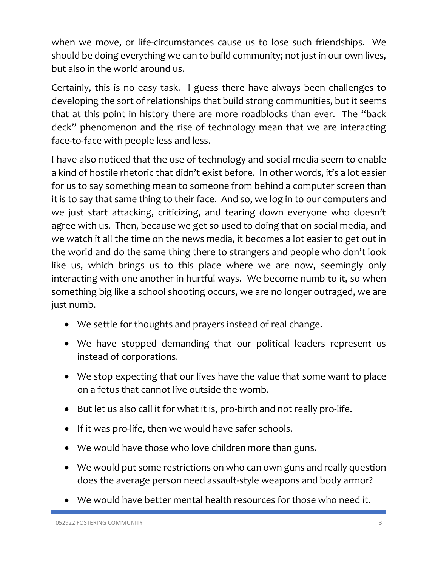when we move, or life-circumstances cause us to lose such friendships. We should be doing everything we can to build community; not just in our own lives, but also in the world around us.

Certainly, this is no easy task. I guess there have always been challenges to developing the sort of relationships that build strong communities, but it seems that at this point in history there are more roadblocks than ever. The "back deck" phenomenon and the rise of technology mean that we are interacting face-to-face with people less and less.

I have also noticed that the use of technology and social media seem to enable a kind of hostile rhetoric that didn't exist before. In other words, it's a lot easier for us to say something mean to someone from behind a computer screen than it is to say that same thing to their face. And so, we log in to our computers and we just start attacking, criticizing, and tearing down everyone who doesn't agree with us. Then, because we get so used to doing that on social media, and we watch it all the time on the news media, it becomes a lot easier to get out in the world and do the same thing there to strangers and people who don't look like us, which brings us to this place where we are now, seemingly only interacting with one another in hurtful ways. We become numb to it, so when something big like a school shooting occurs, we are no longer outraged, we are just numb.

- We settle for thoughts and prayers instead of real change.
- We have stopped demanding that our political leaders represent us instead of corporations.
- We stop expecting that our lives have the value that some want to place on a fetus that cannot live outside the womb.
- But let us also call it for what it is, pro-birth and not really pro-life.
- If it was pro-life, then we would have safer schools.
- We would have those who love children more than guns.
- We would put some restrictions on who can own guns and really question does the average person need assault-style weapons and body armor?
- We would have better mental health resources for those who need it.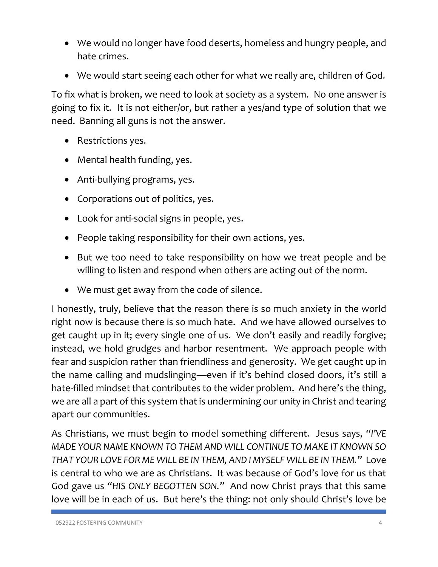- We would no longer have food deserts, homeless and hungry people, and hate crimes.
- We would start seeing each other for what we really are, children of God.

To fix what is broken, we need to look at society as a system. No one answer is going to fix it. It is not either/or, but rather a yes/and type of solution that we need. Banning all guns is not the answer.

- Restrictions yes.
- Mental health funding, yes.
- Anti-bullying programs, yes.
- Corporations out of politics, yes.
- Look for anti-social signs in people, yes.
- People taking responsibility for their own actions, yes.
- But we too need to take responsibility on how we treat people and be willing to listen and respond when others are acting out of the norm.
- We must get away from the code of silence.

I honestly, truly, believe that the reason there is so much anxiety in the world right now is because there is so much hate. And we have allowed ourselves to get caught up in it; every single one of us. We don't easily and readily forgive; instead, we hold grudges and harbor resentment. We approach people with fear and suspicion rather than friendliness and generosity. We get caught up in the name calling and mudslinging—even if it's behind closed doors, it's still a hate-filled mindset that contributes to the wider problem. And here's the thing, we are all a part of this system that is undermining our unity in Christ and tearing apart our communities.

As Christians, we must begin to model something different. Jesus says, *"I'VE MADE YOUR NAME KNOWN TO THEM AND WILL CONTINUE TO MAKE IT KNOWN SO THAT YOUR LOVE FOR ME WILL BE IN THEM, AND I MYSELF WILL BE IN THEM."* Love is central to who we are as Christians. It was because of God's love for us that God gave us *"HIS ONLY BEGOTTEN SON."* And now Christ prays that this same love will be in each of us. But here's the thing: not only should Christ's love be